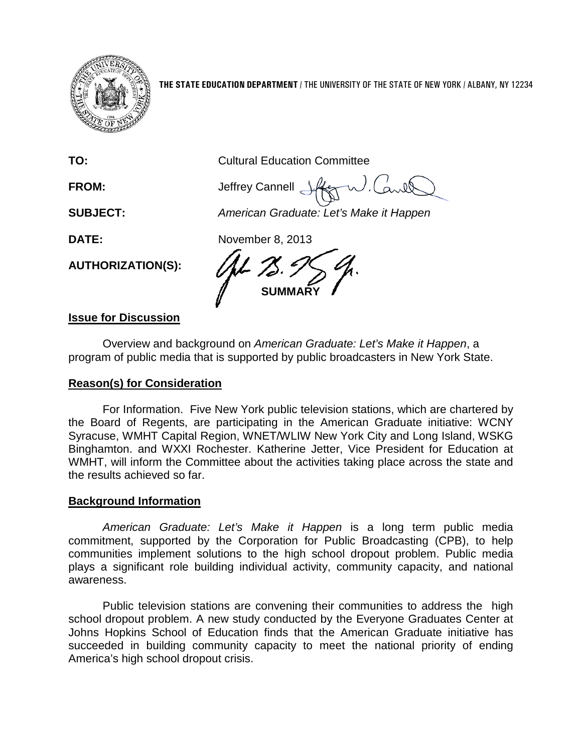

**THE STATE EDUCATION DEPARTMENT** / THE UNIVERSITY OF THE STATE OF NEW YORK / ALBANY, NY 12234

**TO:** Cultural Education Committee

**FROM:** Jeffrey Cannell

**SUBJECT:** *American Graduate: Let's Make it Happen*

**DATE:** November 8, 2013

**SUMMARY**

## **Issue for Discussion**

**AUTHORIZATION(S):**

Overview and background on *American Graduate: Let's Make it Happen*, a program of public media that is supported by public broadcasters in New York State.

## **Reason(s) for Consideration**

For Information. Five New York public television stations, which are chartered by the Board of Regents, are participating in the American Graduate initiative: WCNY Syracuse, WMHT Capital Region, WNET/WLIW New York City and Long Island, WSKG Binghamton. and WXXI Rochester. Katherine Jetter, Vice President for Education at WMHT, will inform the Committee about the activities taking place across the state and the results achieved so far.

## **Background Information**

*American Graduate: Let's Make it Happen* is a long term public media commitment, supported by the Corporation for Public Broadcasting (CPB), to help communities implement solutions to the high school dropout problem. Public media plays a significant role building individual activity, community capacity, and national awareness.

Public television stations are convening their communities to address the high school dropout problem. A new study conducted by the Everyone Graduates Center at Johns Hopkins School of Education finds that the American Graduate initiative has succeeded in building community capacity to meet the national priority of ending America's high school dropout crisis.